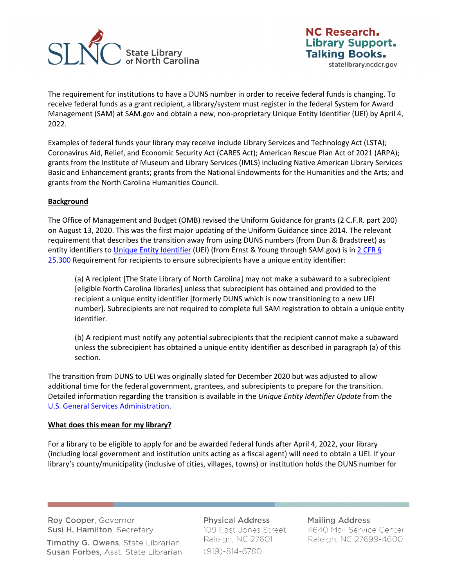

statelibrary.ncdcr.gov

The requirement for institutions to have a DUNS number in order to receive federal funds is changing. To receive federal funds as a grant recipient, a library/system must register in the federal System for Award Management (SAM) at SAM.gov and obtain a new, non-proprietary Unique Entity Identifier (UEI) by April 4, 2022.

Examples of federal funds your library may receive include Library Services and Technology Act (LSTA); Coronavirus Aid, Relief, and Economic Security Act (CARES Act); American Rescue Plan Act of 2021 (ARPA); grants from the Institute of Museum and Library Services (IMLS) including Native American Library Services Basic and Enhancement grants; grants from the National Endowments for the Humanities and the Arts; and grants from the North Carolina Humanities Council.

## **Background**

The Office of Management and Budget (OMB) revised the Uniform Guidance for grants (2 C.F.R. part 200) on August 13, 2020. This was the first major updating of the Uniform Guidance since 2014. The relevant requirement that describes the transition away from using DUNS numbers (from Dun & Bradstreet) as entity identifiers to [Unique Entity Identifier](https://www.gsa.gov/about-us/organization/federal-acquisition-service/office-of-systems-management/integrated-award-environment-iae/iae-information-kit/unique-entity-identifier-update) (UEI) (from Ernst & Young through SAM.gov) is in 2 CFR § [25.300](https://ecfr.io/Title-2/Section-25.300) Requirement for recipients to ensure subrecipients have a unique entity identifier:

(a) A recipient [The State Library of North Carolina] may not make a subaward to a subrecipient [eligible North Carolina libraries] unless that subrecipient has obtained and provided to the recipient a unique entity identifier [formerly DUNS which is now transitioning to a new UEI number]. Subrecipients are not required to complete full SAM registration to obtain a unique entity identifier.

(b) A recipient must notify any potential subrecipients that the recipient cannot make a subaward unless the subrecipient has obtained a unique entity identifier as described in paragraph (a) of this section.

The transition from DUNS to UEI was originally slated for December 2020 but was adjusted to allow additional time for the federal government, grantees, and subrecipients to prepare for the transition. Detailed information regarding the transition is available in the *Unique Entity Identifier Update* from the [U.S. General Services Administration.](https://www.gsa.gov/about-us/organization/federal-acquisition-service/office-of-systems-management/integrated-award-environment-iae/iae-systems-information-kit/unique-entity-identifier-update)

## **What does this mean for my library?**

For a library to be eligible to apply for and be awarded federal funds after April 4, 2022, your library (including local government and institution units acting as a fiscal agent) will need to obtain a UEI. If your library's county/municipality (inclusive of cities, villages, towns) or institution holds the DUNS number for

Roy Cooper, Governor Susi H. Hamilton, Secretary

Timothy G. Owens, State Librarian Susan Forbes, Asst. State Librarian

**Physical Address** 109 East Jones Street Raleigh, NC 27601  $(919)-814-6780$ 

**Mailing Address** 4640 Mail Service Center Raleigh, NC 27699-4600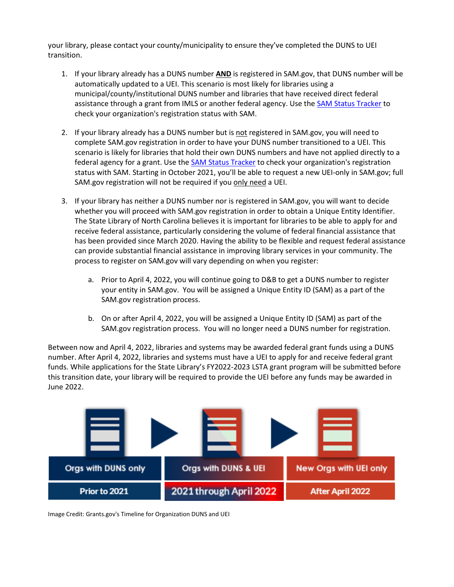your library, please contact your county/municipality to ensure they've completed the DUNS to UEI transition.

- 1. If your library already has a DUNS number **AND** is registered in SAM.gov, that DUNS number will be automatically updated to a UEI. This scenario is most likely for libraries using a municipal/county/institutional DUNS number and libraries that have received direct federal assistance through a grant from IMLS or another federal agency. Use th[e SAM Status Tracker](https://sam.gov/content/status-tracker) to check your organization's registration status with SAM.
- 2. If your library already has a DUNS number but is not registered in SAM.gov, you will need to complete SAM.gov registration in order to have your DUNS number transitioned to a UEI. This scenario is likely for libraries that hold their own DUNS numbers and have not applied directly to a federal agency for a grant. Use the **SAM Status Tracker to check your organization's registration** status with SAM. Starting in October 2021, you'll be able to request a new UEI-only in SAM.gov; full SAM.gov registration will not be required if you only need a UEI.
- 3. If your library has neither a DUNS number nor is registered in SAM.gov, you will want to decide whether you will proceed with SAM.gov registration in order to obtain a Unique Entity Identifier. The State Library of North Carolina believes it is important for libraries to be able to apply for and receive federal assistance, particularly considering the volume of federal financial assistance that has been provided since March 2020. Having the ability to be flexible and request federal assistance can provide substantial financial assistance in improving library services in your community. The process to register on SAM.gov will vary depending on when you register:
	- a. Prior to April 4, 2022, you will continue going to D&B to get a DUNS number to register your entity in SAM.gov. You will be assigned a Unique Entity ID (SAM) as a part of the SAM.gov registration process.
	- b. On or after April 4, 2022, you will be assigned a Unique Entity ID (SAM) as part of the SAM.gov registration process. You will no longer need a DUNS number for registration.

Between now and April 4, 2022, libraries and systems may be awarded federal grant funds using a DUNS number. After April 4, 2022, libraries and systems must have a UEI to apply for and receive federal grant funds. While applications for the State Library's FY2022-2023 LSTA grant program will be submitted before this transition date, your library will be required to provide the UEI before any funds may be awarded in June 2022.



Image Credit: Grants.gov's Timeline for Organization DUNS and UEI